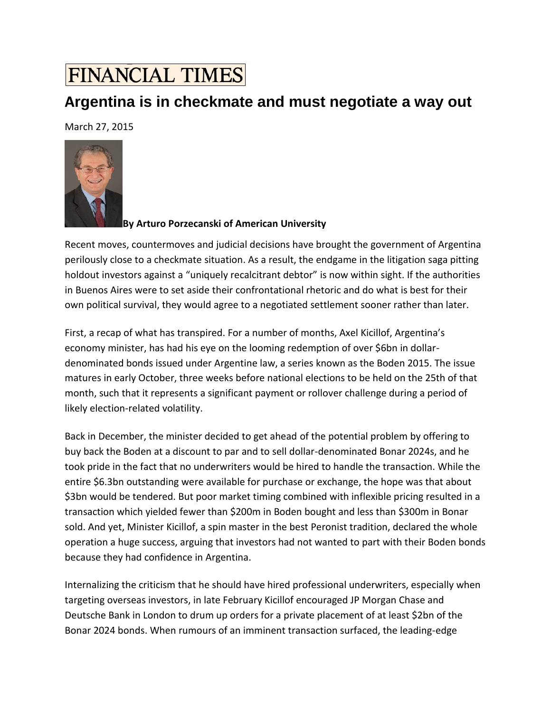## **FINANCIAL TIMES**

## **Argentina is in checkmate and must negotiate a way out**

March 27, 2015



**By Arturo Porzecanski of American University**

Recent moves, countermoves and judicial decisions have brought the government of Argentina perilously close to a checkmate situation. As a result, the endgame in the litigation saga pitting holdout investors against a ["uniquely recalcitrant debtor"](http://en.mercopress.com/2013/08/23/uniquely-recalcitrant-debtor-argentina-loses-bonds-appeal-next-step-us-supreme-court) is now within sight. If the authorities in Buenos Aires were to set aside their confrontational rhetoric and do what is best for their own political survival, they would agree to a negotiated settlement sooner rather than later.

First, a recap of what has transpired. For a number of months, Axel Kicillof, Argentina's economy minister, has had his eye on the looming redemption of over \$6bn in dollardenominated bonds issued under Argentine law, a series known as the Boden 2015. The issue matures in early October, three weeks before national elections to be held on the 25th of that month, such that it represents a significant payment or rollover challenge during a period of likely election-related volatility.

Back in December, the minister decided to get ahead of the potential problem by offering to buy back the Boden at a discount to par and to sell dollar-denominated Bonar 2024s, and he took pride in the fact that no underwriters would be hired to handle the transaction. While the entire \$6.3bn outstanding were available for purchase or exchange, the hope was that about \$3bn would be tendered. But poor market timing combined with inflexible pricing resulted in a transaction which yielded fewer than \$200m in Boden bought and less than \$300m in Bonar sold. And yet, Minister Kicillof, a spin master in the best Peronist tradition, declared the whole operation a huge success, arguing that investors had not wanted to part with their Boden bonds because they had confidence in Argentina.

Internalizing the criticism that he should have hired professional underwriters, especially when targeting overseas investors, in late February Kicillof encouraged JP Morgan Chase and Deutsche Bank in London to drum up orders for a private placement of at least \$2bn of the Bonar 2024 bonds. When rumours of an imminent transaction surfaced, the leading-edge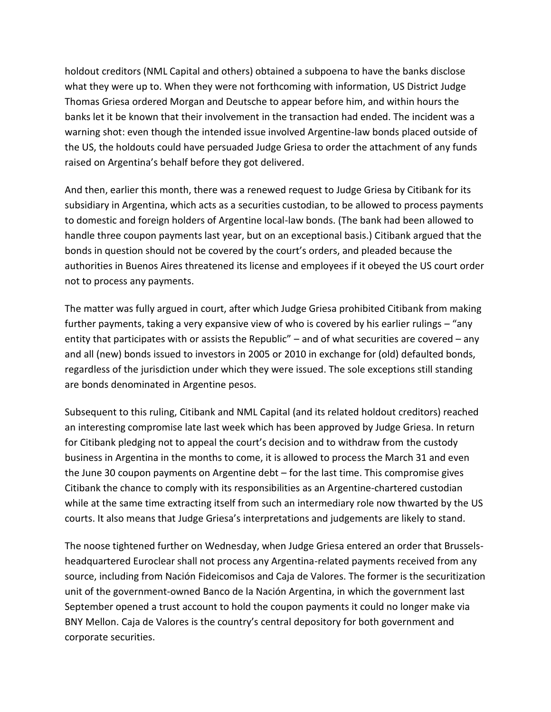holdout creditors (NML Capital and others) obtained a subpoena to have the banks disclose what they were up to. When they were not forthcoming with information, US District Judge Thomas Griesa ordered Morgan and Deutsche to appear before him, and within hours the banks let it be known that their involvement in the transaction had ended. The incident was a warning shot: even though the intended issue involved Argentine-law bonds placed outside of the US, the holdouts could have persuaded Judge Griesa to order the attachment of any funds raised on Argentina's behalf before they got delivered.

And then, earlier this month, there was a renewed request to Judge Griesa by Citibank for its subsidiary in Argentina, which acts as a securities custodian, to be allowed to process payments to domestic and foreign holders of Argentine local-law bonds. (The bank had been allowed to handle three coupon payments last year, but on an exceptional basis.) Citibank argued that the bonds in question should not be covered by the court's orders, and pleaded because the authorities in Buenos Aires threatened its license and employees if it obeyed the US court order not to process any payments.

The matter was fully argued in court, after which Judge Griesa prohibited Citibank from making further payments, taking a very expansive view of who is covered by his earlier rulings – "any entity that participates with or assists the Republic" – and of what securities are covered – any and all (new) bonds issued to investors in 2005 or 2010 in exchange for (old) defaulted bonds, regardless of the jurisdiction under which they were issued. The sole exceptions still standing are bonds denominated in Argentine pesos.

Subsequent to this ruling, Citibank and NML Capital (and its related holdout creditors) reached an interesting compromise late last week which has been approved by Judge Griesa. In return for Citibank pledging not to appeal the court's decision and to withdraw from the custody business in Argentina in the months to come, it is allowed to process the March 31 and even the June 30 coupon payments on Argentine debt – for the last time. This compromise gives Citibank the chance to comply with its responsibilities as an Argentine-chartered custodian while at the same time extracting itself from such an intermediary role now thwarted by the US courts. It also means that Judge Griesa's interpretations and judgements are likely to stand.

The noose tightened further on Wednesday, when Judge Griesa entered an order that Brusselsheadquartered Euroclear shall not process any Argentina-related payments received from any source, including from Nación Fideicomisos and Caja de Valores. The former is the securitization unit of the government-owned Banco de la Nación Argentina, in which the government last September opened a trust account to hold the coupon payments it could no longer make via BNY Mellon. Caja de Valores is the country's central depository for both government and corporate securities.